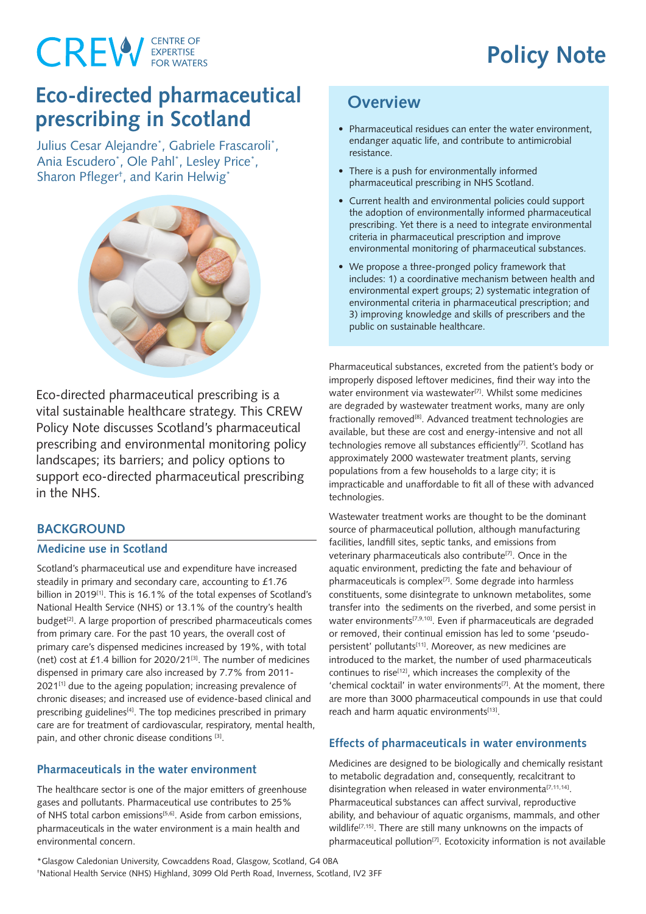## **Policy Note**

# **CREW** EXPERTISE

### **Eco-directed pharmaceutical prescribing in Scotland**

Julius Cesar Alejandre\* , Gabriele Frascaroli\* , Ania Escudero\* , Ole Pahl\* , Lesley Price\* , Sharon Pfleger† , and Karin Helwig\*



Eco-directed pharmaceutical prescribing is a vital sustainable healthcare strategy. This CREW Policy Note discusses Scotland's pharmaceutical prescribing and environmental monitoring policy landscapes; its barriers; and policy options to support eco-directed pharmaceutical prescribing in the NHS.

#### **BACKGROUND**

#### **Medicine use in Scotland**

Scotland's pharmaceutical use and expenditure have increased steadily in primary and secondary care, accounting to £1.76 billion in 2019<sup>[1]</sup>. This is 16.1% of the total expenses of Scotland's National Health Service (NHS) or 13.1% of the country's health budget<sup>[2]</sup>. A large proportion of prescribed pharmaceuticals comes from primary care. For the past 10 years, the overall cost of primary care's dispensed medicines increased by 19%, with total (net) cost at  $£1.4$  billion for 2020/21 $^{[3]}$ . The number of medicines dispensed in primary care also increased by 7.7% from 2011-  $2021^{[1]}$  due to the ageing population; increasing prevalence of chronic diseases; and increased use of evidence-based clinical and prescribing guidelines<sup>[4]</sup>. The top medicines prescribed in primary care are for treatment of cardiovascular, respiratory, mental health, pain, and other chronic disease conditions [3].

#### **Pharmaceuticals in the water environment**

The healthcare sector is one of the major emitters of greenhouse gases and pollutants. Pharmaceutical use contributes to 25% of NHS total carbon emissions<sup>[5,6]</sup>. Aside from carbon emissions, pharmaceuticals in the water environment is a main health and environmental concern.

### **Overview**

- Pharmaceutical residues can enter the water environment. endanger aquatic life, and contribute to antimicrobial resistance.
- There is a push for environmentally informed pharmaceutical prescribing in NHS Scotland.
- Current health and environmental policies could support the adoption of environmentally informed pharmaceutical prescribing. Yet there is a need to integrate environmental criteria in pharmaceutical prescription and improve environmental monitoring of pharmaceutical substances.
- We propose a three-pronged policy framework that includes: 1) a coordinative mechanism between health and environmental expert groups; 2) systematic integration of environmental criteria in pharmaceutical prescription; and 3) improving knowledge and skills of prescribers and the public on sustainable healthcare.

Pharmaceutical substances, excreted from the patient's body or improperly disposed leftover medicines, find their way into the water environment via wastewater<sup>[7]</sup>. Whilst some medicines are degraded by wastewater treatment works, many are only fractionally removed<sup>[8]</sup>. Advanced treatment technologies are available, but these are cost and energy-intensive and not all technologies remove all substances efficiently<sup>[7]</sup>. Scotland has approximately 2000 wastewater treatment plants, serving populations from a few households to a large city; it is impracticable and unaffordable to fit all of these with advanced technologies.

Wastewater treatment works are thought to be the dominant source of pharmaceutical pollution, although manufacturing facilities, landfill sites, septic tanks, and emissions from veterinary pharmaceuticals also contribute<sup>[7]</sup>. Once in the aquatic environment, predicting the fate and behaviour of pharmaceuticals is complex<sup>[7]</sup>. Some degrade into harmless constituents, some disintegrate to unknown metabolites, some transfer into the sediments on the riverbed, and some persist in water environments<sup>[7,9,10]</sup>. Even if pharmaceuticals are degraded or removed, their continual emission has led to some 'pseudopersistent' pollutants<sup>[11]</sup>. Moreover, as new medicines are introduced to the market, the number of used pharmaceuticals continues to rise<sup>[12]</sup>, which increases the complexity of the 'chemical cocktail' in water environments<sup>[7]</sup>. At the moment, there are more than 3000 pharmaceutical compounds in use that could reach and harm aquatic environments<sup>[13]</sup>.

#### **Effects of pharmaceuticals in water environments**

Medicines are designed to be biologically and chemically resistant to metabolic degradation and, consequently, recalcitrant to disintegration when released in water environmenta<sup>[7,11,14]</sup>. Pharmaceutical substances can affect survival, reproductive ability, and behaviour of aquatic organisms, mammals, and other wildlife<sup>[7,15]</sup>. There are still many unknowns on the impacts of pharmaceutical pollution<sup>[7]</sup>. Ecotoxicity information is not available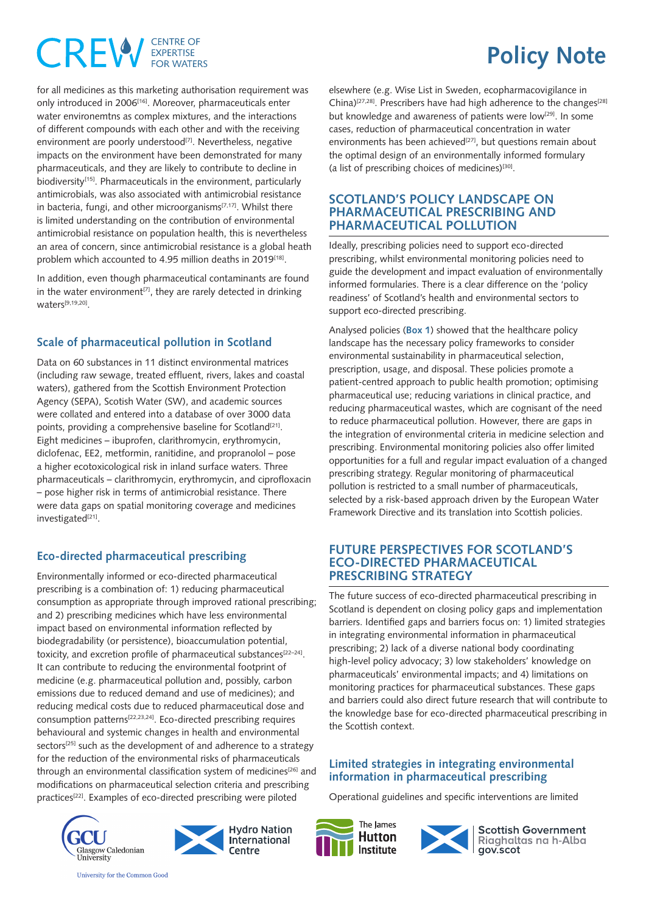### **CENTRE OF CREW** EXPERTISE

for all medicines as this marketing authorisation requirement was only introduced in 2006[16]. Moreover, pharmaceuticals enter water environemtns as complex mixtures, and the interactions of different compounds with each other and with the receiving environment are poorly understood<sup>[7]</sup>. Nevertheless, negative impacts on the environment have been demonstrated for many pharmaceuticals, and they are likely to contribute to decline in biodiversity<sup>[15]</sup>. Pharmaceuticals in the environment, particularly antimicrobials, was also associated with antimicrobial resistance in bacteria, fungi, and other microorganisms<sup>[7,17]</sup>. Whilst there is limited understanding on the contribution of environmental antimicrobial resistance on population health, this is nevertheless an area of concern, since antimicrobial resistance is a global heath problem which accounted to 4.95 million deaths in 2019<sup>[18]</sup>.

In addition, even though pharmaceutical contaminants are found in the water environment<sup>[7]</sup>, they are rarely detected in drinking waters[9,19,20].

#### **Scale of pharmaceutical pollution in Scotland**

Data on 60 substances in 11 distinct environmental matrices (including raw sewage, treated effluent, rivers, lakes and coastal waters), gathered from the Scottish Environment Protection Agency (SEPA), Scotish Water (SW), and academic sources were collated and entered into a database of over 3000 data points, providing a comprehensive baseline for Scotland<sup>[21]</sup>. Eight medicines – ibuprofen, clarithromycin, erythromycin, diclofenac, EE2, metformin, ranitidine, and propranolol – pose a higher ecotoxicological risk in inland surface waters. Three pharmaceuticals – clarithromycin, erythromycin, and ciprofloxacin – pose higher risk in terms of antimicrobial resistance. There were data gaps on spatial monitoring coverage and medicines investigated<sup>[21]</sup>.

#### **Eco-directed pharmaceutical prescribing**

Environmentally informed or eco-directed pharmaceutical prescribing is a combination of: 1) reducing pharmaceutical consumption as appropriate through improved rational prescribing; and 2) prescribing medicines which have less environmental impact based on environmental information reflected by biodegradability (or persistence), bioaccumulation potential, toxicity, and excretion profile of pharmaceutical substances<sup>[22-24]</sup>. It can contribute to reducing the environmental footprint of medicine (e.g. pharmaceutical pollution and, possibly, carbon emissions due to reduced demand and use of medicines); and reducing medical costs due to reduced pharmaceutical dose and consumption patterns[22,23,24]. Eco-directed prescribing requires behavioural and systemic changes in health and environmental sectors<sup>[25]</sup> such as the development of and adherence to a strategy for the reduction of the environmental risks of pharmaceuticals through an environmental classification system of medicines<sup>[26]</sup> and modifications on pharmaceutical selection criteria and prescribing practices<sup>[22]</sup>. Examples of eco-directed prescribing were piloted

elsewhere (e.g. Wise List in Sweden, ecopharmacovigilance in China)<sup>[27,28]</sup>. Prescribers have had high adherence to the changes<sup>[28]</sup> but knowledge and awareness of patients were low<sup>[29]</sup>. In some cases, reduction of pharmaceutical concentration in water environments has been achieved<sup>[27]</sup>, but questions remain about the optimal design of an environmentally informed formulary (a list of prescribing choices of medicines) $[30]$ .

**Policy Note**

#### **SCOTLAND'S POLICY LANDSCAPE ON PHARMACEUTICAL PRESCRIBING AND PHARMACEUTICAL POLLUTION**

Ideally, prescribing policies need to support eco-directed prescribing, whilst environmental monitoring policies need to guide the development and impact evaluation of environmentally informed formularies. There is a clear difference on the 'policy readiness' of Scotland's health and environmental sectors to support eco-directed prescribing.

Analysed policies (**Box 1**) showed that the healthcare policy landscape has the necessary policy frameworks to consider environmental sustainability in pharmaceutical selection, prescription, usage, and disposal. These policies promote a patient-centred approach to public health promotion; optimising pharmaceutical use; reducing variations in clinical practice, and reducing pharmaceutical wastes, which are cognisant of the need to reduce pharmaceutical pollution. However, there are gaps in the integration of environmental criteria in medicine selection and prescribing. Environmental monitoring policies also offer limited opportunities for a full and regular impact evaluation of a changed prescribing strategy. Regular monitoring of pharmaceutical pollution is restricted to a small number of pharmaceuticals, selected by a risk-based approach driven by the European Water Framework Directive and its translation into Scottish policies.

#### **FUTURE PERSPECTIVES FOR SCOTLAND'S ECO-DIRECTED PHARMACEUTICAL PRESCRIBING STRATEGY**

The future success of eco-directed pharmaceutical prescribing in Scotland is dependent on closing policy gaps and implementation barriers. Identified gaps and barriers focus on: 1) limited strategies in integrating environmental information in pharmaceutical prescribing; 2) lack of a diverse national body coordinating high-level policy advocacy; 3) low stakeholders' knowledge on pharmaceuticals' environmental impacts; and 4) limitations on monitoring practices for pharmaceutical substances. These gaps and barriers could also direct future research that will contribute to the knowledge base for eco-directed pharmaceutical prescribing in the Scottish context.

#### **Limited strategies in integrating environmental information in pharmaceutical prescribing**

Operational guidelines and specific interventions are limited









**Scottish Government** Riaghaltas na h-Alba ||Riaghalt<br>||gov.scot

University for the Common Good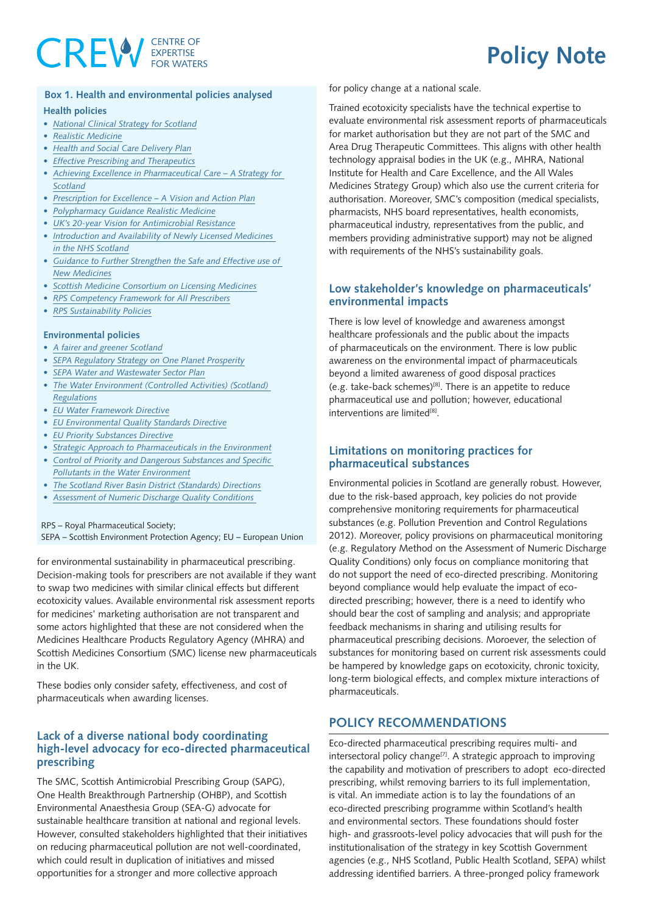# **CREW** EXPERTISE

## **Policy Note**

#### **Box 1. Health and environmental policies analysed Health policies**

- *• [National](https://www.gov.scot/publications/national-clinical-strategy-scotland/) Clinical Strategy for Scotland*
- *• Realistic [Medicine](https://www.gov.scot/publications/cmo-annual-report-2020-21/)*
- *• Health and Social Care [Delivery](https://www.gov.scot/publications/health-social-care-delivery-plan/) Plan*
- *• Effective Prescribing and [Therapeutics](https://www.therapeutics.scot.nhs.uk/prescribing-strategies/)*
- *• Achieving Excellence in [Pharmaceutical](https://www.gov.scot/publications/achieving-excellence-pharmaceutical-care-strategy-scotland/) Care – A Strategy for [Scotland](https://www.gov.scot/publications/achieving-excellence-pharmaceutical-care-strategy-scotland/)*
- *• [Prescription](https://www.gov.scot/publications/prescription-excellence-vision-action-plan-right-pharmaceutical-care-through-integrated-partnerships-innovation/) for Excellence – A Vision and Action Plan*
- *• [Polypharmacy](https://www.therapeutics.scot.nhs.uk/wp-content/uploads/2018/04/Polypharmacy-Guidance-2018.pdf) Guidance Realistic Medicine*
- *• UK's 20-year Vision for [Antimicrobial](https://www.gov.uk/government/publications/uk-20-year-vision-for-antimicrobial-resistance) Resistance*
- *• [Introduction](https://www.scottishmedicines.org.uk/media/2729/the-introduction-and-availability-of-medicines.pdf) and Availability of Newly Licensed Medicines in the NHS [Scotland](https://www.scottishmedicines.org.uk/media/2729/the-introduction-and-availability-of-medicines.pdf)*
- *• Guidance to Further [Strengthen](https://www.scottishmedicines.org.uk/media/2726/safe-and-effective-use-of-new-medicines.pdf) the Safe and Effective use of New [Medicines](https://www.scottishmedicines.org.uk/media/2726/safe-and-effective-use-of-new-medicines.pdf)*
- *• Scottish Medicine [Consortium](https://www.scottishmedicines.org.uk/media/3574/20180712-a-guide-to-the-scottish-medicines-consortium.pdf) on Licensing Medicines*
- *• RPS [Competency](https://www.rpharms.com/Portals/0/RPS document library/Open access/Professional standards/Prescribing competency framework/prescribing-competency-framework.pdf) Framework for All Prescribers*
- *• RPS [Sustainability](https://www.rpharms.com/recognition/all-our-campaigns/policy-a-z/sustainability-policy/policies) Policies*

#### **Environmental policies**

- *• A fairer and greener [Scotland](https://www.gov.scot/publications/fairer-greener-scotland-programme-government-202122/)*
- *• SEPA [Regulatory](https://www.sepa.org.uk/media/219427/one-planet-prosperity-our-regulatory-strategy.pdf) Strategy on One Planet Prosperity*
- *• SEPA Water and [Wastewater](https://sectors.sepa.org.uk/media/1122/water-supply-and-waste-water-sector-plan.pdf) Sector Plan*
- *• The Water [Environment](https://www.legislation.gov.uk/ssi/2011/209/made/data.pdf) (Controlled Activities) (Scotland) [Regulations](https://www.legislation.gov.uk/ssi/2011/209/made/data.pdf)*
- *• EU Water [Framework](https://eur-lex.europa.eu/legal-content/en/TXT/?uri=CELEX:32000L0060) Directive*
- *• EU [Environmental](https://eur-lex.europa.eu/legal-content/EN/TXT/PDF/?uri=CELEX:32008L0105&from=EN) Quality Standards Directive*
- *• EU Priority [Substances](https://eur-lex.europa.eu/LexUriServ/LexUriServ.do?uri=OJ:L:2013:226:0001:0017:en:PDF) Directive*
- *• Strategic Approach to [Pharmaceuticals](https://ec.europa.eu/environment/water/water-dangersub/pdf/strategic_approach_pharmaceuticals_env.PDF) in the Environment*
- *• Control of Priority and Dangerous [Substances](https://www.sepa.org.uk/media/59968/policy_61-control-of-priority-and-dangerous-substances-and-specific-pollutants-in-the-water-environment.pdf) and Specific Pollutants in the Water [Environment](https://www.sepa.org.uk/media/59968/policy_61-control-of-priority-and-dangerous-substances-and-specific-pollutants-in-the-water-environment.pdf)*
- *• The Scotland River Basin District [\(Standards\)](https://www.gov.scot/binaries/content/documents/govscot/publications/regulation-directive-order/2014/08/scotland-river-basin-district-standards-directions-2014/documents/00457867-pdf/00457867-pdf/govscot%3Adocument/00457867.pdf) Directions*
- *• [Assessment](https://www.sepa.org.uk/media/152818/wat_rm_40.pdf) of Numeric Discharge Quality Conditions*

#### RPS – Royal Pharmaceutical Society;

SEPA – Scottish Environment Protection Agency; EU – European Union

for environmental sustainability in pharmaceutical prescribing. Decision-making tools for prescribers are not available if they want to swap two medicines with similar clinical effects but different ecotoxicity values. Available environmental risk assessment reports for medicines' marketing authorisation are not transparent and some actors highlighted that these are not considered when the Medicines Healthcare Products Regulatory Agency (MHRA) and Scottish Medicines Consortium (SMC) license new pharmaceuticals in the UK.

These bodies only consider safety, effectiveness, and cost of pharmaceuticals when awarding licenses.

#### **Lack of a diverse national body coordinating high-level advocacy for eco-directed pharmaceutical prescribing**

The SMC, Scottish Antimicrobial Prescribing Group (SAPG), One Health Breakthrough Partnership (OHBP), and Scottish Environmental Anaesthesia Group (SEA-G) advocate for sustainable healthcare transition at national and regional levels. However, consulted stakeholders highlighted that their initiatives on reducing pharmaceutical pollution are not well-coordinated, which could result in duplication of initiatives and missed opportunities for a stronger and more collective approach

for policy change at a national scale.

Trained ecotoxicity specialists have the technical expertise to evaluate environmental risk assessment reports of pharmaceuticals for market authorisation but they are not part of the SMC and Area Drug Therapeutic Committees. This aligns with other health technology appraisal bodies in the UK (e.g., MHRA, National Institute for Health and Care Excellence, and the All Wales Medicines Strategy Group) which also use the current criteria for authorisation. Moreover, SMC's composition (medical specialists, pharmacists, NHS board representatives, health economists, pharmaceutical industry, representatives from the public, and members providing administrative support) may not be aligned with requirements of the NHS's sustainability goals.

#### **Low stakeholder's knowledge on pharmaceuticals' environmental impacts**

There is low level of knowledge and awareness amongst healthcare professionals and the public about the impacts of pharmaceuticals on the environment. There is low public awareness on the environmental impact of pharmaceuticals beyond a limited awareness of good disposal practices (e.g. take-back schemes)<sup>[8]</sup>. There is an appetite to reduce pharmaceutical use and pollution; however, educational interventions are limited[8].

#### **Limitations on monitoring practices for pharmaceutical substances**

Environmental policies in Scotland are generally robust. However, due to the risk-based approach, key policies do not provide comprehensive monitoring requirements for pharmaceutical substances (e.g. Pollution Prevention and Control Regulations 2012). Moreover, policy provisions on pharmaceutical monitoring (e.g. Regulatory Method on the Assessment of Numeric Discharge Quality Conditions) only focus on compliance monitoring that do not support the need of eco-directed prescribing. Monitoring beyond compliance would help evaluate the impact of ecodirected prescribing; however, there is a need to identify who should bear the cost of sampling and analysis; and appropriate feedback mechanisms in sharing and utilising results for pharmaceutical prescribing decisions. Moroever, the selection of substances for monitoring based on current risk assessments could be hampered by knowledge gaps on ecotoxicity, chronic toxicity, long-term biological effects, and complex mixture interactions of pharmaceuticals.

#### **POLICY RECOMMENDATIONS**

Eco-directed pharmaceutical prescribing requires multi- and intersectoral policy change<sup>[7]</sup>. A strategic approach to improving the capability and motivation of prescribers to adopt eco-directed prescribing, whilst removing barriers to its full implementation, is vital. An immediate action is to lay the foundations of an eco-directed prescribing programme within Scotland's health and environmental sectors. These foundations should foster high- and grassroots-level policy advocacies that will push for the institutionalisation of the strategy in key Scottish Government agencies (e.g., NHS Scotland, Public Health Scotland, SEPA) whilst addressing identified barriers. A three-pronged policy framework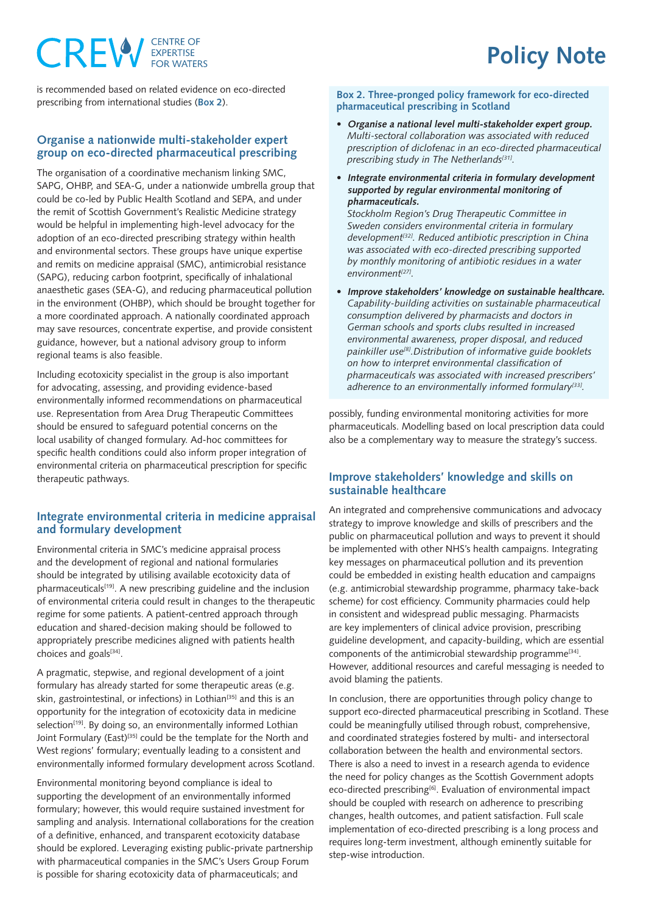### **CENTRE OF** CREW

### **Policy Note**

is recommended based on related evidence on eco-directed prescribing from international studies (**Box 2**).

#### **Organise a nationwide multi-stakeholder expert group on eco-directed pharmaceutical prescribing**

The organisation of a coordinative mechanism linking SMC, SAPG, OHBP, and SEA-G, under a nationwide umbrella group that could be co-led by Public Health Scotland and SEPA, and under the remit of Scottish Government's Realistic Medicine strategy would be helpful in implementing high-level advocacy for the adoption of an eco-directed prescribing strategy within health and environmental sectors. These groups have unique expertise and remits on medicine appraisal (SMC), antimicrobial resistance (SAPG), reducing carbon footprint, specifically of inhalational anaesthetic gases (SEA-G), and reducing pharmaceutical pollution in the environment (OHBP), which should be brought together for a more coordinated approach. A nationally coordinated approach may save resources, concentrate expertise, and provide consistent guidance, however, but a national advisory group to inform regional teams is also feasible.

Including ecotoxicity specialist in the group is also important for advocating, assessing, and providing evidence-based environmentally informed recommendations on pharmaceutical use. Representation from Area Drug Therapeutic Committees should be ensured to safeguard potential concerns on the local usability of changed formulary. Ad-hoc committees for specific health conditions could also inform proper integration of environmental criteria on pharmaceutical prescription for specific therapeutic pathways.

#### **Integrate environmental criteria in medicine appraisal and formulary development**

Environmental criteria in SMC's medicine appraisal process and the development of regional and national formularies should be integrated by utilising available ecotoxicity data of pharmaceuticals<sup>[19]</sup>. A new prescribing guideline and the inclusion of environmental criteria could result in changes to the therapeutic regime for some patients. A patient-centred approach through education and shared-decision making should be followed to appropriately prescribe medicines aligned with patients health choices and goals[34].

A pragmatic, stepwise, and regional development of a joint formulary has already started for some therapeutic areas (e.g. skin, gastrointestinal, or infections) in Lothian<sup>[35]</sup> and this is an opportunity for the integration of ecotoxicity data in medicine selection<sup>[19]</sup>. By doing so, an environmentally informed Lothian Joint Formulary (East)<sup>[35]</sup> could be the template for the North and West regions' formulary; eventually leading to a consistent and environmentally informed formulary development across Scotland.

Environmental monitoring beyond compliance is ideal to supporting the development of an environmentally informed formulary; however, this would require sustained investment for sampling and analysis. International collaborations for the creation of a definitive, enhanced, and transparent ecotoxicity database should be explored. Leveraging existing public-private partnership with pharmaceutical companies in the SMC's Users Group Forum is possible for sharing ecotoxicity data of pharmaceuticals; and

#### **Box 2. Three-pronged policy framework for eco-directed pharmaceutical prescribing in Scotland**

- **• Organise a national level multi-stakeholder expert group.** *Multi-sectoral collaboration was associated with reduced prescription of diclofenac in an eco-directed pharmaceutical prescribing study in The Netherlands[31].*
- **• Integrate environmental criteria in formulary development supported by regular environmental monitoring of pharmaceuticals.**

*Stockholm Region's Drug Therapeutic Committee in Sweden considers environmental criteria in formulary development[32]. Reduced antibiotic prescription in China was associated with eco-directed prescribing supported by monthly monitoring of antibiotic residues in a water environment[27].*

**• Improve stakeholders' knowledge on sustainable healthcare.** *Capability-building activities on sustainable pharmaceutical consumption delivered by pharmacists and doctors in German schools and sports clubs resulted in increased environmental awareness, proper disposal, and reduced painkiller use[8].Distribution of informative guide booklets on how to interpret environmental classification of pharmaceuticals was associated with increased prescribers' adherence to an environmentally informed formulary[33].*

possibly, funding environmental monitoring activities for more pharmaceuticals. Modelling based on local prescription data could also be a complementary way to measure the strategy's success.

#### **Improve stakeholders' knowledge and skills on sustainable healthcare**

An integrated and comprehensive communications and advocacy strategy to improve knowledge and skills of prescribers and the public on pharmaceutical pollution and ways to prevent it should be implemented with other NHS's health campaigns. Integrating key messages on pharmaceutical pollution and its prevention could be embedded in existing health education and campaigns (e.g. antimicrobial stewardship programme, pharmacy take-back scheme) for cost efficiency. Community pharmacies could help in consistent and widespread public messaging. Pharmacists are key implementers of clinical advice provision, prescribing guideline development, and capacity-building, which are essential components of the antimicrobial stewardship programme<sup>[34]</sup>. However, additional resources and careful messaging is needed to avoid blaming the patients.

In conclusion, there are opportunities through policy change to support eco-directed pharmaceutical prescribing in Scotland. These could be meaningfully utilised through robust, comprehensive, and coordinated strategies fostered by multi- and intersectoral collaboration between the health and environmental sectors. There is also a need to invest in a research agenda to evidence the need for policy changes as the Scottish Government adopts eco-directed prescribing<sup>[6]</sup>. Evaluation of environmental impact should be coupled with research on adherence to prescribing changes, health outcomes, and patient satisfaction. Full scale implementation of eco-directed prescribing is a long process and requires long-term investment, although eminently suitable for step-wise introduction.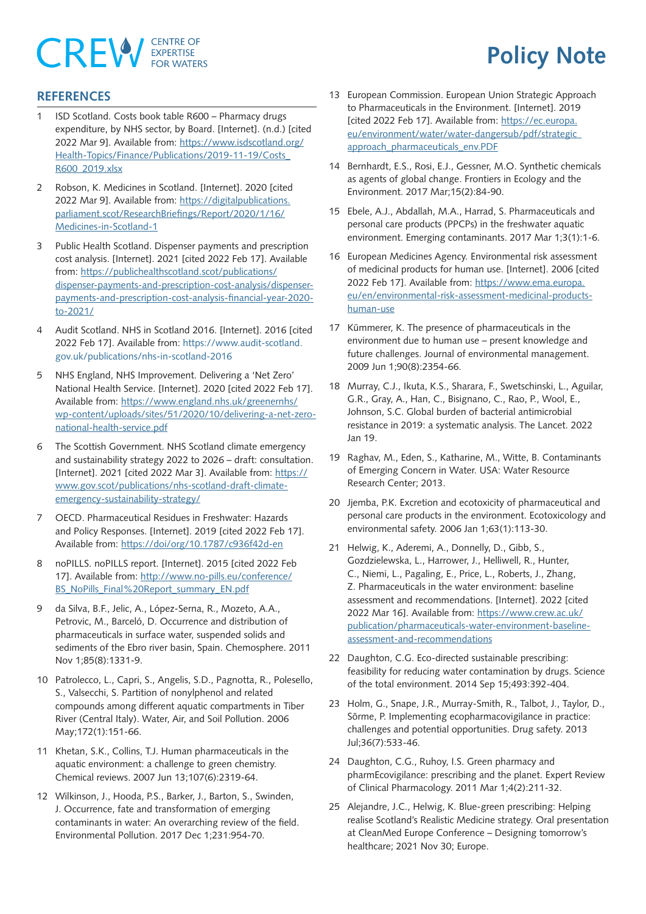# **CREW** EXPERTISE

## **Policy Note**

#### **REFERENCES**

- 1 ISD Scotland. Costs book table R600 Pharmacy drugs expenditure, by NHS sector, by Board. [Internet]. (n.d.) [cited 2022 Mar 9]. Available from: [https://www.isdscotland.org/](https://www.isdscotland.org/Health-Topics/Finance/Publications/2019-11-19/Costs_R600_2019.xlsx) [Health-Topics/Finance/Publications/2019-11-19/Costs\\_](https://www.isdscotland.org/Health-Topics/Finance/Publications/2019-11-19/Costs_R600_2019.xlsx) [R600\\_2019.xlsx](https://www.isdscotland.org/Health-Topics/Finance/Publications/2019-11-19/Costs_R600_2019.xlsx)
- 2 Robson, K. Medicines in Scotland. [Internet]. 2020 [cited 2022 Mar 9]. Available from: [https://digitalpublications.](https://digitalpublications.parliament.scot/ResearchBriefings/Report/2020/1/16/Medicines-in-Scotland-1) [parliament.scot/ResearchBriefings/Report/2020/1/16/](https://digitalpublications.parliament.scot/ResearchBriefings/Report/2020/1/16/Medicines-in-Scotland-1) [Medicines-in-Scotland-1](https://digitalpublications.parliament.scot/ResearchBriefings/Report/2020/1/16/Medicines-in-Scotland-1)
- 3 Public Health Scotland. Dispenser payments and prescription cost analysis. [Internet]. 2021 [cited 2022 Feb 17]. Available from: [https://publichealthscotland.scot/publications/](https://publichealthscotland.scot/publications/dispenser-payments-and-prescription-cost-analysis/dispenser-payments-and-prescription-cost-analysis-financial-year-2020-to-2021/ ) [dispenser-payments-and-prescription-cost-analysis/dispenser](https://publichealthscotland.scot/publications/dispenser-payments-and-prescription-cost-analysis/dispenser-payments-and-prescription-cost-analysis-financial-year-2020-to-2021/ )[payments-and-prescription-cost-analysis-financial-year-2020](https://publichealthscotland.scot/publications/dispenser-payments-and-prescription-cost-analysis/dispenser-payments-and-prescription-cost-analysis-financial-year-2020-to-2021/ ) [to-2021/](https://publichealthscotland.scot/publications/dispenser-payments-and-prescription-cost-analysis/dispenser-payments-and-prescription-cost-analysis-financial-year-2020-to-2021/ )
- 4 Audit Scotland. NHS in Scotland 2016. [Internet]. 2016 [cited 2022 Feb 17]. Available from: [https://www.audit-scotland.](https://www.audit-scotland.gov.uk/publications/nhs-in-scotland-2016) [gov.uk/publications/nhs-in-scotland-2016](https://www.audit-scotland.gov.uk/publications/nhs-in-scotland-2016)
- 5 NHS England, NHS Improvement. Delivering a 'Net Zero' National Health Service. [Internet]. 2020 [cited 2022 Feb 17]. Available from: [https://www.england.nhs.uk/greenernhs/](https://www.england.nhs.uk/greenernhs/wp-content/uploads/sites/51/2020/10/delivering-a-net-zero-national-health-service.pdf) [wp-content/uploads/sites/51/2020/10/delivering-a-net-zero](https://www.england.nhs.uk/greenernhs/wp-content/uploads/sites/51/2020/10/delivering-a-net-zero-national-health-service.pdf)[national-health-service.pdf](https://www.england.nhs.uk/greenernhs/wp-content/uploads/sites/51/2020/10/delivering-a-net-zero-national-health-service.pdf)
- 6 The Scottish Government. NHS Scotland climate emergency and sustainability strategy 2022 to 2026 – draft: consultation. [Internet]. 2021 [cited 2022 Mar 3]. Available from: [https://](https://www.gov.scot/publications/nhs-scotland-draft-climate-emergency-sustainability-strategy/) [www.gov.scot/publications/nhs-scotland-draft-climate](https://www.gov.scot/publications/nhs-scotland-draft-climate-emergency-sustainability-strategy/)[emergency-sustainability-strategy/](https://www.gov.scot/publications/nhs-scotland-draft-climate-emergency-sustainability-strategy/)
- 7 OECD. Pharmaceutical Residues in Freshwater: Hazards and Policy Responses. [Internet]. 2019 [cited 2022 Feb 17]. Available from: <https://doi/org/10.1787/c936f42d-en>
- 8 noPILLS. noPILLS report. [Internet]. 2015 [cited 2022 Feb 17]. Available from: [http://www.no-pills.eu/conference/](http://www.no-pills.eu/conference/BS_NoPills_Final%20Report_summary_EN.pdf ) [BS\\_NoPills\\_Final%20Report\\_summary\\_EN.pdf](http://www.no-pills.eu/conference/BS_NoPills_Final%20Report_summary_EN.pdf )
- 9 da Silva, B.F., Jelic, A., López-Serna, R., Mozeto, A.A., Petrovic, M., Barceló, D. Occurrence and distribution of pharmaceuticals in surface water, suspended solids and sediments of the Ebro river basin, Spain. Chemosphere. 2011 Nov 1;85(8):1331-9.
- 10 Patrolecco, L., Capri, S., Angelis, S.D., Pagnotta, R., Polesello, S., Valsecchi, S. Partition of nonylphenol and related compounds among different aquatic compartments in Tiber River (Central Italy). Water, Air, and Soil Pollution. 2006 May;172(1):151-66.
- 11 Khetan, S.K., Collins, T.J. Human pharmaceuticals in the aquatic environment: a challenge to green chemistry. Chemical reviews. 2007 Jun 13;107(6):2319-64.
- 12 Wilkinson, J., Hooda, P.S., Barker, J., Barton, S., Swinden, J. Occurrence, fate and transformation of emerging contaminants in water: An overarching review of the field. Environmental Pollution. 2017 Dec 1;231:954-70.
- 13 European Commission. European Union Strategic Approach to Pharmaceuticals in the Environment. [Internet]. 2019 [cited 2022 Feb 17]. Available from: [https://ec.europa.](https://ec.europa.eu/environment/water/water-dangersub/pdf/strategic_approach_pharmaceuticals_env.PDF) [eu/environment/water/water-dangersub/pdf/strategic\\_](https://ec.europa.eu/environment/water/water-dangersub/pdf/strategic_approach_pharmaceuticals_env.PDF) [approach\\_pharmaceuticals\\_env.PDF](https://ec.europa.eu/environment/water/water-dangersub/pdf/strategic_approach_pharmaceuticals_env.PDF)
- 14 Bernhardt, E.S., Rosi, E.J., Gessner, M.O. Synthetic chemicals as agents of global change. Frontiers in Ecology and the Environment. 2017 Mar;15(2):84-90.
- 15 Ebele, A.J., Abdallah, M.A., Harrad, S. Pharmaceuticals and personal care products (PPCPs) in the freshwater aquatic environment. Emerging contaminants. 2017 Mar 1;3(1):1-6.
- 16 European Medicines Agency. Environmental risk assessment of medicinal products for human use. [Internet]. 2006 [cited 2022 Feb 17]. Available from: [https://www.ema.europa.](https://www.ema.europa.eu/en/environmental-risk-assessment-medicinal-products-human-use ) [eu/en/environmental-risk-assessment-medicinal-products](https://www.ema.europa.eu/en/environmental-risk-assessment-medicinal-products-human-use )[human-use](https://www.ema.europa.eu/en/environmental-risk-assessment-medicinal-products-human-use )
- 17 Kümmerer, K. The presence of pharmaceuticals in the environment due to human use – present knowledge and future challenges. Journal of environmental management. 2009 Jun 1;90(8):2354-66.
- 18 Murray, C.J., Ikuta, K.S., Sharara, F., Swetschinski, L., Aguilar, G.R., Gray, A., Han, C., Bisignano, C., Rao, P., Wool, E., Johnson, S.C. Global burden of bacterial antimicrobial resistance in 2019: a systematic analysis. The Lancet. 2022 Jan 19.
- 19 Raghav, M., Eden, S., Katharine, M., Witte, B. Contaminants of Emerging Concern in Water. USA: Water Resource Research Center; 2013.
- 20 Jjemba, P.K. Excretion and ecotoxicity of pharmaceutical and personal care products in the environment. Ecotoxicology and environmental safety. 2006 Jan 1;63(1):113-30.
- 21 Helwig, K., Aderemi, A., Donnelly, D., Gibb, S., Gozdzielewska, L., Harrower, J., Helliwell, R., Hunter, C., Niemi, L., Pagaling, E., Price, L., Roberts, J., Zhang, Z. Pharmaceuticals in the water environment: baseline assessment and recommendations. [Internet]. 2022 [cited 2022 Mar 16]. Available from: [https://www.crew.ac.uk/](https://www.crew.ac.uk/publication/pharmaceuticals-water-environment-baseline-assessment-and-recommendations) [publication/pharmaceuticals-water-environment-baseline](https://www.crew.ac.uk/publication/pharmaceuticals-water-environment-baseline-assessment-and-recommendations)[assessment-and-recommendations](https://www.crew.ac.uk/publication/pharmaceuticals-water-environment-baseline-assessment-and-recommendations)
- 22 Daughton, C.G. Eco-directed sustainable prescribing: feasibility for reducing water contamination by drugs. Science of the total environment. 2014 Sep 15;493:392-404.
- 23 Holm, G., Snape, J.R., Murray-Smith, R., Talbot, J., Taylor, D., Sörme, P. Implementing ecopharmacovigilance in practice: challenges and potential opportunities. Drug safety. 2013 Jul;36(7):533-46.
- 24 Daughton, C.G., Ruhoy, I.S. Green pharmacy and pharmEcovigilance: prescribing and the planet. Expert Review of Clinical Pharmacology. 2011 Mar 1;4(2):211-32.
- 25 Alejandre, J.C., Helwig, K. Blue-green prescribing: Helping realise Scotland's Realistic Medicine strategy. Oral presentation at CleanMed Europe Conference – Designing tomorrow's healthcare; 2021 Nov 30; Europe.